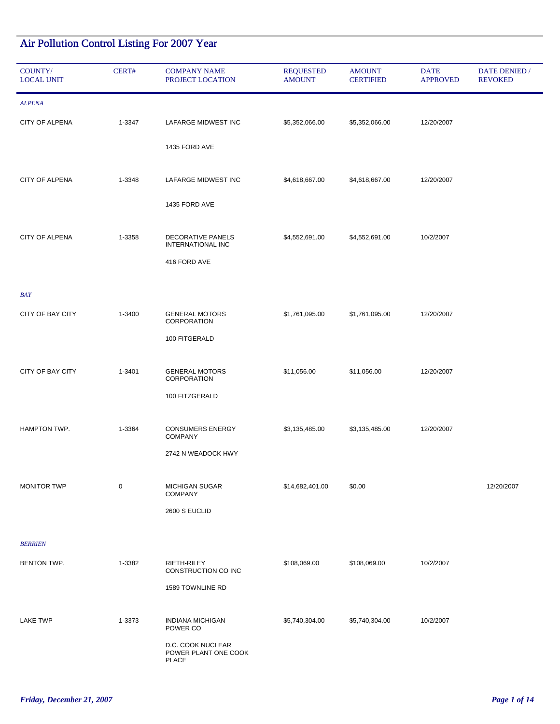## Air Pollution Control Listing For 2007 Year

| COUNTY/<br><b>LOCAL UNIT</b> | CERT#  | <b>COMPANY NAME</b><br>PROJECT LOCATION                   | <b>REQUESTED</b><br><b>AMOUNT</b> | <b>AMOUNT</b><br><b>CERTIFIED</b> | <b>DATE</b><br><b>APPROVED</b> | DATE DENIED /<br><b>REVOKED</b> |
|------------------------------|--------|-----------------------------------------------------------|-----------------------------------|-----------------------------------|--------------------------------|---------------------------------|
| <b>ALPENA</b>                |        |                                                           |                                   |                                   |                                |                                 |
| CITY OF ALPENA               | 1-3347 | LAFARGE MIDWEST INC                                       | \$5,352,066.00                    | \$5,352,066.00                    | 12/20/2007                     |                                 |
|                              |        | 1435 FORD AVE                                             |                                   |                                   |                                |                                 |
| CITY OF ALPENA               | 1-3348 | LAFARGE MIDWEST INC                                       | \$4,618,667.00                    | \$4,618,667.00                    | 12/20/2007                     |                                 |
|                              |        | 1435 FORD AVE                                             |                                   |                                   |                                |                                 |
| CITY OF ALPENA               | 1-3358 | DECORATIVE PANELS<br><b>INTERNATIONAL INC</b>             | \$4,552,691.00                    | \$4,552,691.00                    | 10/2/2007                      |                                 |
|                              |        | 416 FORD AVE                                              |                                   |                                   |                                |                                 |
| <b>BAY</b>                   |        |                                                           |                                   |                                   |                                |                                 |
| CITY OF BAY CITY             | 1-3400 | <b>GENERAL MOTORS</b><br>CORPORATION                      | \$1,761,095.00                    | \$1,761,095.00                    | 12/20/2007                     |                                 |
|                              |        | 100 FITGERALD                                             |                                   |                                   |                                |                                 |
| CITY OF BAY CITY             | 1-3401 | <b>GENERAL MOTORS</b><br>CORPORATION                      | \$11,056.00                       | \$11,056.00                       | 12/20/2007                     |                                 |
|                              |        | 100 FITZGERALD                                            |                                   |                                   |                                |                                 |
| HAMPTON TWP.                 | 1-3364 | <b>CONSUMERS ENERGY</b>                                   | \$3,135,485.00                    | \$3,135,485.00                    | 12/20/2007                     |                                 |
|                              |        | <b>COMPANY</b><br>2742 N WEADOCK HWY                      |                                   |                                   |                                |                                 |
|                              |        |                                                           |                                   |                                   |                                |                                 |
| <b>MONITOR TWP</b>           | 0      | <b>MICHIGAN SUGAR</b><br><b>COMPANY</b>                   | \$14,682,401.00                   | \$0.00                            |                                | 12/20/2007                      |
|                              |        | 2600 S EUCLID                                             |                                   |                                   |                                |                                 |
| <b>BERRIEN</b>               |        |                                                           |                                   |                                   |                                |                                 |
| BENTON TWP.                  | 1-3382 | RIETH-RILEY<br>CONSTRUCTION CO INC                        | \$108,069.00                      | \$108,069.00                      | 10/2/2007                      |                                 |
|                              |        | 1589 TOWNLINE RD                                          |                                   |                                   |                                |                                 |
| <b>LAKE TWP</b>              | 1-3373 | <b>INDIANA MICHIGAN</b><br>POWER CO                       | \$5,740,304.00                    | \$5,740,304.00                    | 10/2/2007                      |                                 |
|                              |        | D.C. COOK NUCLEAR<br>POWER PLANT ONE COOK<br><b>PLACE</b> |                                   |                                   |                                |                                 |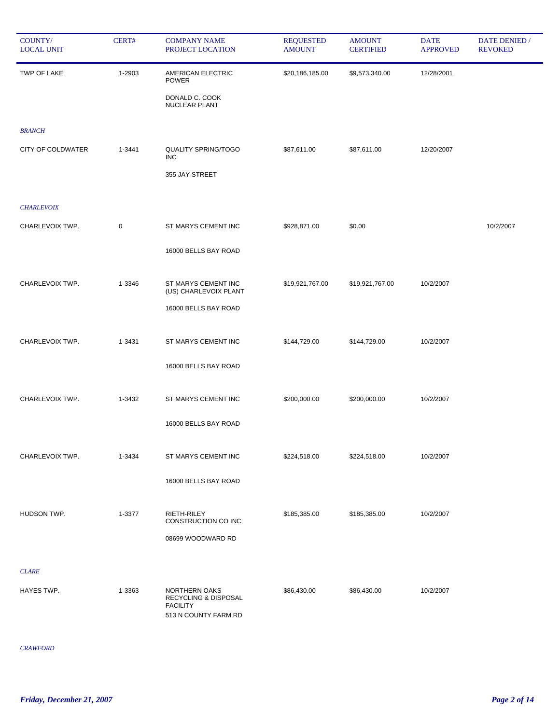| COUNTY/<br><b>LOCAL UNIT</b> | CERT#  | <b>COMPANY NAME</b><br>PROJECT LOCATION                                          | <b>REQUESTED</b><br><b>AMOUNT</b> | <b>AMOUNT</b><br><b>CERTIFIED</b> | <b>DATE</b><br><b>APPROVED</b> | DATE DENIED /<br><b>REVOKED</b> |
|------------------------------|--------|----------------------------------------------------------------------------------|-----------------------------------|-----------------------------------|--------------------------------|---------------------------------|
| TWP OF LAKE                  | 1-2903 | AMERICAN ELECTRIC<br><b>POWER</b>                                                | \$20,186,185.00                   | \$9,573,340.00                    | 12/28/2001                     |                                 |
|                              |        | DONALD C. COOK<br>NUCLEAR PLANT                                                  |                                   |                                   |                                |                                 |
| <b>BRANCH</b>                |        |                                                                                  |                                   |                                   |                                |                                 |
| <b>CITY OF COLDWATER</b>     | 1-3441 | <b>QUALITY SPRING/TOGO</b><br><b>INC</b>                                         | \$87,611.00                       | \$87,611.00                       | 12/20/2007                     |                                 |
|                              |        | 355 JAY STREET                                                                   |                                   |                                   |                                |                                 |
| <b>CHARLEVOIX</b>            |        |                                                                                  |                                   |                                   |                                |                                 |
| CHARLEVOIX TWP.              | 0      | ST MARYS CEMENT INC                                                              | \$928,871.00                      | \$0.00                            |                                | 10/2/2007                       |
|                              |        | 16000 BELLS BAY ROAD                                                             |                                   |                                   |                                |                                 |
|                              |        |                                                                                  |                                   |                                   |                                |                                 |
| CHARLEVOIX TWP.              | 1-3346 | ST MARYS CEMENT INC<br>(US) CHARLEVOIX PLANT                                     | \$19,921,767.00                   | \$19,921,767.00                   | 10/2/2007                      |                                 |
|                              |        | 16000 BELLS BAY ROAD                                                             |                                   |                                   |                                |                                 |
| CHARLEVOIX TWP.              | 1-3431 | ST MARYS CEMENT INC                                                              | \$144,729.00                      | \$144,729.00                      | 10/2/2007                      |                                 |
|                              |        | 16000 BELLS BAY ROAD                                                             |                                   |                                   |                                |                                 |
| CHARLEVOIX TWP.              | 1-3432 | ST MARYS CEMENT INC                                                              | \$200,000.00                      | \$200,000.00                      | 10/2/2007                      |                                 |
|                              |        |                                                                                  |                                   |                                   |                                |                                 |
|                              |        | 16000 BELLS BAY ROAD                                                             |                                   |                                   |                                |                                 |
| CHARLEVOIX TWP.              | 1-3434 | ST MARYS CEMENT INC                                                              | \$224,518.00                      | \$224,518.00                      | 10/2/2007                      |                                 |
|                              |        | 16000 BELLS BAY ROAD                                                             |                                   |                                   |                                |                                 |
| <b>HUDSON TWP.</b>           | 1-3377 | RIETH-RILEY                                                                      | \$185,385.00                      | \$185,385.00                      | 10/2/2007                      |                                 |
|                              |        | CONSTRUCTION CO INC                                                              |                                   |                                   |                                |                                 |
|                              |        | 08699 WOODWARD RD                                                                |                                   |                                   |                                |                                 |
| <b>CLARE</b>                 |        |                                                                                  |                                   |                                   |                                |                                 |
| HAYES TWP.                   | 1-3363 | NORTHERN OAKS<br>RECYCLING & DISPOSAL<br><b>FACILITY</b><br>513 N COUNTY FARM RD | \$86,430.00                       | \$86,430.00                       | 10/2/2007                      |                                 |

*CRAWFORD*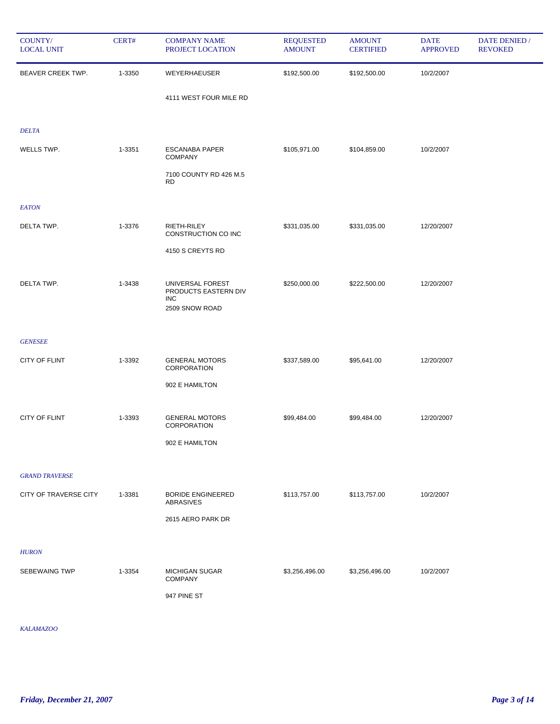| COUNTY/<br><b>LOCAL UNIT</b> | CERT#  | <b>COMPANY NAME</b><br>PROJECT LOCATION  | <b>REQUESTED</b><br><b>AMOUNT</b> | <b>AMOUNT</b><br><b>CERTIFIED</b> | <b>DATE</b><br><b>APPROVED</b> | DATE DENIED /<br><b>REVOKED</b> |
|------------------------------|--------|------------------------------------------|-----------------------------------|-----------------------------------|--------------------------------|---------------------------------|
| BEAVER CREEK TWP.            | 1-3350 | WEYERHAEUSER                             | \$192,500.00                      | \$192,500.00                      | 10/2/2007                      |                                 |
|                              |        | 4111 WEST FOUR MILE RD                   |                                   |                                   |                                |                                 |
| <b>DELTA</b>                 |        |                                          |                                   |                                   |                                |                                 |
| WELLS TWP.                   | 1-3351 | <b>ESCANABA PAPER</b><br><b>COMPANY</b>  | \$105,971.00                      | \$104,859.00                      | 10/2/2007                      |                                 |
|                              |        | 7100 COUNTY RD 426 M.5<br><b>RD</b>      |                                   |                                   |                                |                                 |
| <b>EATON</b>                 |        |                                          |                                   |                                   |                                |                                 |
| DELTA TWP.                   | 1-3376 | RIETH-RILEY<br>CONSTRUCTION CO INC       | \$331,035.00                      | \$331,035.00                      | 12/20/2007                     |                                 |
|                              |        | 4150 S CREYTS RD                         |                                   |                                   |                                |                                 |
| DELTA TWP.                   | 1-3438 | UNIVERSAL FOREST<br>PRODUCTS EASTERN DIV | \$250,000.00                      | \$222,500.00                      | 12/20/2007                     |                                 |
|                              |        | <b>INC</b><br>2509 SNOW ROAD             |                                   |                                   |                                |                                 |
| <b>GENESEE</b>               |        |                                          |                                   |                                   |                                |                                 |
| CITY OF FLINT                | 1-3392 | <b>GENERAL MOTORS</b><br>CORPORATION     | \$337,589.00                      | \$95,641.00                       | 12/20/2007                     |                                 |
|                              |        | 902 E HAMILTON                           |                                   |                                   |                                |                                 |
| CITY OF FLINT                | 1-3393 | <b>GENERAL MOTORS</b>                    | \$99,484.00                       | \$99,484.00                       | 12/20/2007                     |                                 |
|                              |        | CORPORATION<br>902 E HAMILTON            |                                   |                                   |                                |                                 |
|                              |        |                                          |                                   |                                   |                                |                                 |
| <b>GRAND TRAVERSE</b>        |        |                                          |                                   |                                   |                                |                                 |
| <b>CITY OF TRAVERSE CITY</b> | 1-3381 | <b>BORIDE ENGINEERED</b><br>ABRASIVES    | \$113,757.00                      | \$113,757.00                      | 10/2/2007                      |                                 |
|                              |        | 2615 AERO PARK DR                        |                                   |                                   |                                |                                 |
| <b>HURON</b>                 |        |                                          |                                   |                                   |                                |                                 |
| SEBEWAING TWP                | 1-3354 | <b>MICHIGAN SUGAR</b><br><b>COMPANY</b>  | \$3,256,496.00                    | \$3,256,496.00                    | 10/2/2007                      |                                 |
|                              |        | 947 PINE ST                              |                                   |                                   |                                |                                 |

*KALAMAZOO*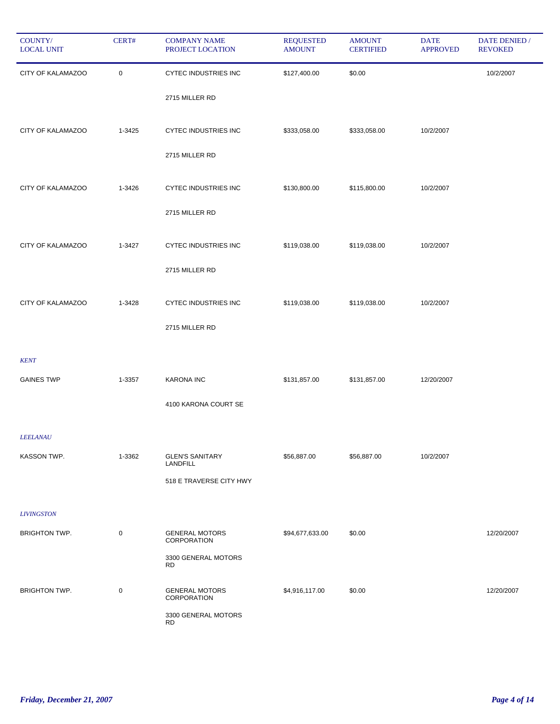| COUNTY/<br><b>LOCAL UNIT</b> | CERT#       | <b>COMPANY NAME</b><br>PROJECT LOCATION | <b>REQUESTED</b><br><b>AMOUNT</b> | <b>AMOUNT</b><br><b>CERTIFIED</b> | <b>DATE</b><br><b>APPROVED</b> | <b>DATE DENIED /</b><br><b>REVOKED</b> |
|------------------------------|-------------|-----------------------------------------|-----------------------------------|-----------------------------------|--------------------------------|----------------------------------------|
| CITY OF KALAMAZOO            | $\mathbf 0$ | CYTEC INDUSTRIES INC                    | \$127,400.00                      | \$0.00                            |                                | 10/2/2007                              |
|                              |             | 2715 MILLER RD                          |                                   |                                   |                                |                                        |
| CITY OF KALAMAZOO            | 1-3425      | <b>CYTEC INDUSTRIES INC</b>             | \$333,058.00                      | \$333,058.00                      | 10/2/2007                      |                                        |
|                              |             | 2715 MILLER RD                          |                                   |                                   |                                |                                        |
| CITY OF KALAMAZOO            | 1-3426      | <b>CYTEC INDUSTRIES INC</b>             | \$130,800.00                      | \$115,800.00                      | 10/2/2007                      |                                        |
|                              |             | 2715 MILLER RD                          |                                   |                                   |                                |                                        |
| CITY OF KALAMAZOO            | 1-3427      | CYTEC INDUSTRIES INC                    | \$119,038.00                      | \$119,038.00                      | 10/2/2007                      |                                        |
|                              |             | 2715 MILLER RD                          |                                   |                                   |                                |                                        |
| CITY OF KALAMAZOO            | 1-3428      | <b>CYTEC INDUSTRIES INC</b>             | \$119,038.00                      | \$119,038.00                      | 10/2/2007                      |                                        |
|                              |             | 2715 MILLER RD                          |                                   |                                   |                                |                                        |
| <b>KENT</b>                  |             |                                         |                                   |                                   |                                |                                        |
| <b>GAINES TWP</b>            | 1-3357      | <b>KARONA INC</b>                       | \$131,857.00                      | \$131,857.00                      | 12/20/2007                     |                                        |
|                              |             | 4100 KARONA COURT SE                    |                                   |                                   |                                |                                        |
| <b>LEELANAU</b>              |             |                                         |                                   |                                   |                                |                                        |
| KASSON TWP.                  | 1-3362      | <b>GLEN'S SANITARY</b><br>LANDFILL      | \$56,887.00                       | \$56,887.00                       | 10/2/2007                      |                                        |
|                              |             | 518 E TRAVERSE CITY HWY                 |                                   |                                   |                                |                                        |
| <b>LIVINGSTON</b>            |             |                                         |                                   |                                   |                                |                                        |
| <b>BRIGHTON TWP.</b>         | $\pmb{0}$   | <b>GENERAL MOTORS</b><br>CORPORATION    | \$94,677,633.00                   | \$0.00                            |                                | 12/20/2007                             |
|                              |             | 3300 GENERAL MOTORS<br><b>RD</b>        |                                   |                                   |                                |                                        |
| <b>BRIGHTON TWP.</b>         | $\mathbf 0$ | <b>GENERAL MOTORS</b><br>CORPORATION    | \$4,916,117.00                    | \$0.00                            |                                | 12/20/2007                             |
|                              |             | 3300 GENERAL MOTORS<br><b>RD</b>        |                                   |                                   |                                |                                        |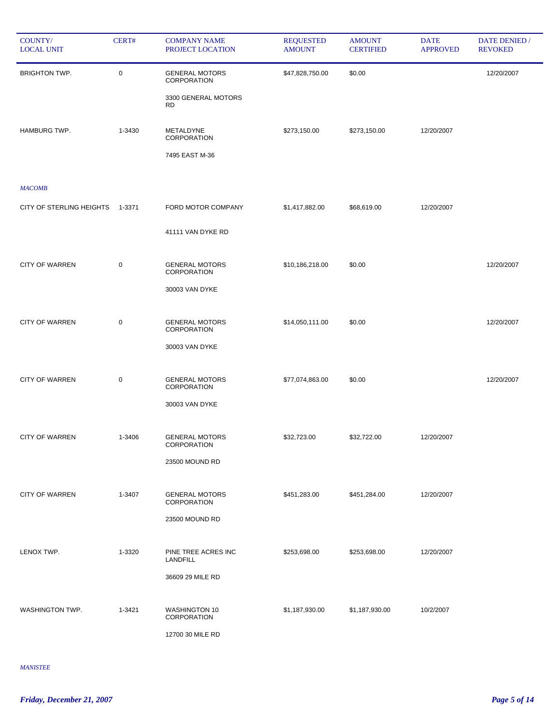| COUNTY/<br><b>LOCAL UNIT</b> | CERT#  | <b>COMPANY NAME</b><br>PROJECT LOCATION     | <b>REQUESTED</b><br><b>AMOUNT</b> | <b>AMOUNT</b><br><b>CERTIFIED</b> | <b>DATE</b><br><b>APPROVED</b> | DATE DENIED /<br><b>REVOKED</b> |
|------------------------------|--------|---------------------------------------------|-----------------------------------|-----------------------------------|--------------------------------|---------------------------------|
| <b>BRIGHTON TWP.</b>         | 0      | <b>GENERAL MOTORS</b><br>CORPORATION        | \$47,828,750.00                   | \$0.00                            |                                | 12/20/2007                      |
|                              |        | 3300 GENERAL MOTORS<br><b>RD</b>            |                                   |                                   |                                |                                 |
| <b>HAMBURG TWP.</b>          | 1-3430 | METALDYNE<br><b>CORPORATION</b>             | \$273,150.00                      | \$273,150.00                      | 12/20/2007                     |                                 |
|                              |        | 7495 EAST M-36                              |                                   |                                   |                                |                                 |
| <b>MACOMB</b>                |        |                                             |                                   |                                   |                                |                                 |
| CITY OF STERLING HEIGHTS     | 1-3371 | FORD MOTOR COMPANY                          | \$1,417,882.00                    | \$68,619.00                       | 12/20/2007                     |                                 |
|                              |        | 41111 VAN DYKE RD                           |                                   |                                   |                                |                                 |
| <b>CITY OF WARREN</b>        | 0      | <b>GENERAL MOTORS</b><br>CORPORATION        | \$10,186,218.00                   | \$0.00                            |                                | 12/20/2007                      |
|                              |        | 30003 VAN DYKE                              |                                   |                                   |                                |                                 |
| <b>CITY OF WARREN</b>        | 0      | <b>GENERAL MOTORS</b><br>CORPORATION        | \$14,050,111.00                   | \$0.00                            |                                | 12/20/2007                      |
|                              |        | 30003 VAN DYKE                              |                                   |                                   |                                |                                 |
| <b>CITY OF WARREN</b>        | 0      | <b>GENERAL MOTORS</b><br>CORPORATION        | \$77,074,863.00                   | \$0.00                            |                                | 12/20/2007                      |
|                              |        | 30003 VAN DYKE                              |                                   |                                   |                                |                                 |
| <b>CITY OF WARREN</b>        | 1-3406 | <b>GENERAL MOTORS</b><br><b>CORPORATION</b> | \$32,723.00                       | \$32,722.00                       | 12/20/2007                     |                                 |
|                              |        | 23500 MOUND RD                              |                                   |                                   |                                |                                 |
| <b>CITY OF WARREN</b>        | 1-3407 | <b>GENERAL MOTORS</b><br><b>CORPORATION</b> | \$451,283.00                      | \$451,284.00                      | 12/20/2007                     |                                 |
|                              |        | 23500 MOUND RD                              |                                   |                                   |                                |                                 |
| LENOX TWP.                   | 1-3320 | PINE TREE ACRES INC<br><b>LANDFILL</b>      | \$253,698.00                      | \$253,698.00                      | 12/20/2007                     |                                 |
|                              |        | 36609 29 MILE RD                            |                                   |                                   |                                |                                 |
| WASHINGTON TWP.              | 1-3421 | <b>WASHINGTON 10</b><br>CORPORATION         | \$1,187,930.00                    | \$1,187,930.00                    | 10/2/2007                      |                                 |
|                              |        | 12700 30 MILE RD                            |                                   |                                   |                                |                                 |

*MANISTEE*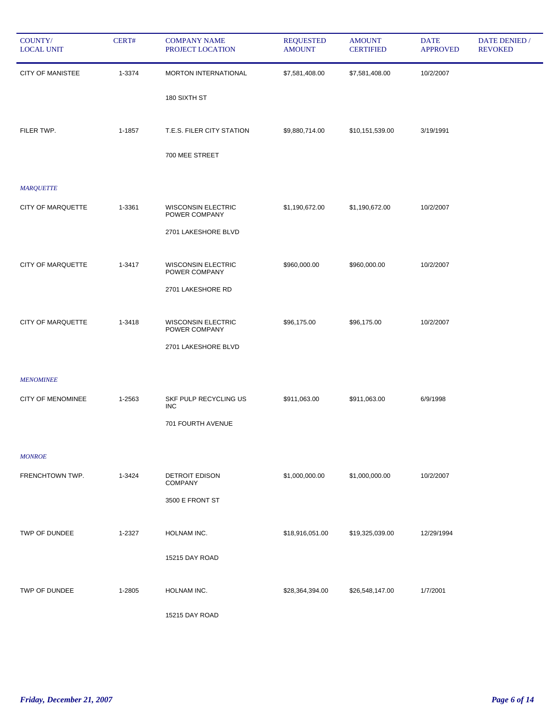| COUNTY/<br><b>LOCAL UNIT</b> | CERT#  | <b>COMPANY NAME</b><br>PROJECT LOCATION    | <b>REQUESTED</b><br><b>AMOUNT</b> | <b>AMOUNT</b><br><b>CERTIFIED</b> | <b>DATE</b><br><b>APPROVED</b> | <b>DATE DENIED</b> /<br><b>REVOKED</b> |
|------------------------------|--------|--------------------------------------------|-----------------------------------|-----------------------------------|--------------------------------|----------------------------------------|
| <b>CITY OF MANISTEE</b>      | 1-3374 | MORTON INTERNATIONAL                       | \$7,581,408.00                    | \$7,581,408.00                    | 10/2/2007                      |                                        |
|                              |        | 180 SIXTH ST                               |                                   |                                   |                                |                                        |
| FILER TWP.                   | 1-1857 | T.E.S. FILER CITY STATION                  | \$9,880,714.00                    | \$10,151,539.00                   | 3/19/1991                      |                                        |
|                              |        | 700 MEE STREET                             |                                   |                                   |                                |                                        |
| <b>MARQUETTE</b>             |        |                                            |                                   |                                   |                                |                                        |
| CITY OF MARQUETTE            | 1-3361 | <b>WISCONSIN ELECTRIC</b><br>POWER COMPANY | \$1,190,672.00                    | \$1,190,672.00                    | 10/2/2007                      |                                        |
|                              |        | 2701 LAKESHORE BLVD                        |                                   |                                   |                                |                                        |
| CITY OF MARQUETTE            | 1-3417 | <b>WISCONSIN ELECTRIC</b><br>POWER COMPANY | \$960,000.00                      | \$960,000.00                      | 10/2/2007                      |                                        |
|                              |        | 2701 LAKESHORE RD                          |                                   |                                   |                                |                                        |
| CITY OF MARQUETTE            | 1-3418 | <b>WISCONSIN ELECTRIC</b><br>POWER COMPANY | \$96,175.00                       | \$96,175.00                       | 10/2/2007                      |                                        |
|                              |        | 2701 LAKESHORE BLVD                        |                                   |                                   |                                |                                        |
| <b>MENOMINEE</b>             |        |                                            |                                   |                                   |                                |                                        |
| <b>CITY OF MENOMINEE</b>     | 1-2563 | SKF PULP RECYCLING US<br><b>INC</b>        | \$911,063.00                      | \$911,063.00                      | 6/9/1998                       |                                        |
|                              |        | 701 FOURTH AVENUE                          |                                   |                                   |                                |                                        |
| <b>MONROE</b>                |        |                                            |                                   |                                   |                                |                                        |
| FRENCHTOWN TWP.              | 1-3424 | <b>DETROIT EDISON</b><br><b>COMPANY</b>    | \$1,000,000.00                    | \$1,000,000.00                    | 10/2/2007                      |                                        |
|                              |        | 3500 E FRONT ST                            |                                   |                                   |                                |                                        |
| TWP OF DUNDEE                | 1-2327 | HOLNAM INC.                                | \$18,916,051.00                   | \$19,325,039.00                   | 12/29/1994                     |                                        |
|                              |        | 15215 DAY ROAD                             |                                   |                                   |                                |                                        |
| TWP OF DUNDEE                | 1-2805 | HOLNAM INC.                                | \$28,364,394.00                   | \$26,548,147.00                   | 1/7/2001                       |                                        |
|                              |        | 15215 DAY ROAD                             |                                   |                                   |                                |                                        |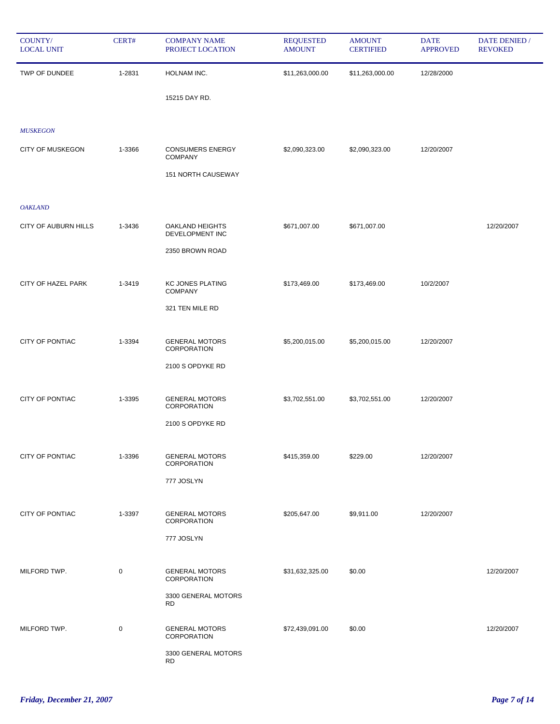| COUNTY/<br><b>LOCAL UNIT</b> | CERT#       | <b>COMPANY NAME</b><br>PROJECT LOCATION     | <b>REQUESTED</b><br><b>AMOUNT</b> | <b>AMOUNT</b><br><b>CERTIFIED</b> | <b>DATE</b><br><b>APPROVED</b> | <b>DATE DENIED</b> /<br><b>REVOKED</b> |
|------------------------------|-------------|---------------------------------------------|-----------------------------------|-----------------------------------|--------------------------------|----------------------------------------|
| TWP OF DUNDEE                | 1-2831      | HOLNAM INC.                                 | \$11,263,000.00                   | \$11,263,000.00                   | 12/28/2000                     |                                        |
|                              |             | 15215 DAY RD.                               |                                   |                                   |                                |                                        |
| <b>MUSKEGON</b>              |             |                                             |                                   |                                   |                                |                                        |
| <b>CITY OF MUSKEGON</b>      | 1-3366      | <b>CONSUMERS ENERGY</b><br><b>COMPANY</b>   | \$2,090,323.00                    | \$2,090,323.00                    | 12/20/2007                     |                                        |
|                              |             | 151 NORTH CAUSEWAY                          |                                   |                                   |                                |                                        |
| <b>OAKLAND</b>               |             |                                             |                                   |                                   |                                |                                        |
| CITY OF AUBURN HILLS         | 1-3436      | OAKLAND HEIGHTS<br>DEVELOPMENT INC          | \$671,007.00                      | \$671,007.00                      |                                | 12/20/2007                             |
|                              |             | 2350 BROWN ROAD                             |                                   |                                   |                                |                                        |
| CITY OF HAZEL PARK           | 1-3419      | <b>KC JONES PLATING</b><br><b>COMPANY</b>   | \$173,469.00                      | \$173,469.00                      | 10/2/2007                      |                                        |
|                              |             | 321 TEN MILE RD                             |                                   |                                   |                                |                                        |
| CITY OF PONTIAC              | 1-3394      | <b>GENERAL MOTORS</b><br>CORPORATION        | \$5,200,015.00                    | \$5,200,015.00                    | 12/20/2007                     |                                        |
|                              |             | 2100 S OPDYKE RD                            |                                   |                                   |                                |                                        |
| CITY OF PONTIAC              | 1-3395      | <b>GENERAL MOTORS</b><br>CORPORATION        | \$3,702,551.00                    | \$3,702,551.00                    | 12/20/2007                     |                                        |
|                              |             | 2100 S OPDYKE RD                            |                                   |                                   |                                |                                        |
| CITY OF PONTIAC              | 1-3396      | <b>GENERAL MOTORS</b><br>CORPORATION        | \$415,359.00                      | \$229.00                          | 12/20/2007                     |                                        |
|                              |             | 777 JOSLYN                                  |                                   |                                   |                                |                                        |
| CITY OF PONTIAC              | 1-3397      | <b>GENERAL MOTORS</b><br><b>CORPORATION</b> | \$205,647.00                      | \$9,911.00                        | 12/20/2007                     |                                        |
|                              |             | 777 JOSLYN                                  |                                   |                                   |                                |                                        |
| MILFORD TWP.                 | $\mathbf 0$ | <b>GENERAL MOTORS</b><br>CORPORATION        | \$31,632,325.00                   | \$0.00                            |                                | 12/20/2007                             |
|                              |             | 3300 GENERAL MOTORS<br><b>RD</b>            |                                   |                                   |                                |                                        |
| MILFORD TWP.                 | $\mathbf 0$ | <b>GENERAL MOTORS</b><br>CORPORATION        | \$72,439,091.00                   | \$0.00                            |                                | 12/20/2007                             |
|                              |             | 3300 GENERAL MOTORS<br><b>RD</b>            |                                   |                                   |                                |                                        |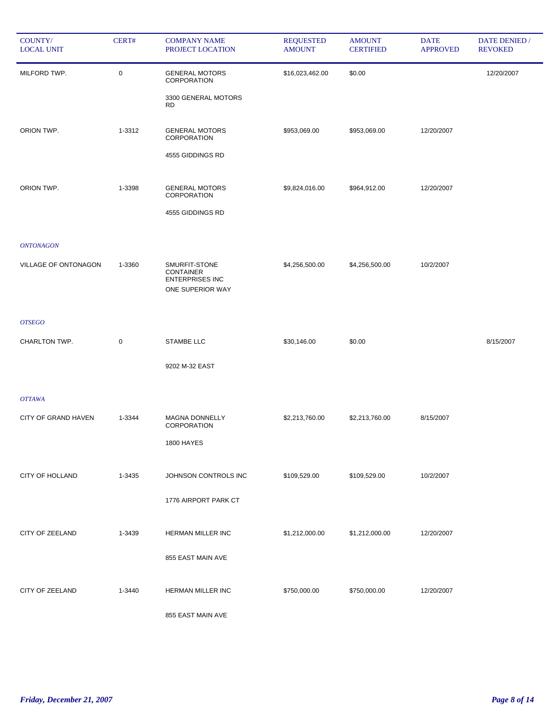| COUNTY/<br><b>LOCAL UNIT</b> | CERT#       | <b>COMPANY NAME</b><br>PROJECT LOCATION                                         | <b>REQUESTED</b><br><b>AMOUNT</b> | <b>AMOUNT</b><br><b>CERTIFIED</b> | <b>DATE</b><br><b>APPROVED</b> | DATE DENIED /<br><b>REVOKED</b> |
|------------------------------|-------------|---------------------------------------------------------------------------------|-----------------------------------|-----------------------------------|--------------------------------|---------------------------------|
| MILFORD TWP.                 | 0           | <b>GENERAL MOTORS</b><br>CORPORATION                                            | \$16,023,462.00                   | \$0.00                            |                                | 12/20/2007                      |
|                              |             | 3300 GENERAL MOTORS<br><b>RD</b>                                                |                                   |                                   |                                |                                 |
| ORION TWP.                   | 1-3312      | <b>GENERAL MOTORS</b><br>CORPORATION                                            | \$953,069.00                      | \$953,069.00                      | 12/20/2007                     |                                 |
|                              |             | 4555 GIDDINGS RD                                                                |                                   |                                   |                                |                                 |
| ORION TWP.                   | 1-3398      | <b>GENERAL MOTORS</b><br>CORPORATION                                            | \$9,824,016.00                    | \$964,912.00                      | 12/20/2007                     |                                 |
|                              |             | 4555 GIDDINGS RD                                                                |                                   |                                   |                                |                                 |
| <b>ONTONAGON</b>             |             |                                                                                 |                                   |                                   |                                |                                 |
| VILLAGE OF ONTONAGON         | 1-3360      | SMURFIT-STONE<br><b>CONTAINER</b><br><b>ENTERPRISES INC</b><br>ONE SUPERIOR WAY | \$4,256,500.00                    | \$4,256,500.00                    | 10/2/2007                      |                                 |
| <b>OTSEGO</b>                |             |                                                                                 |                                   |                                   |                                |                                 |
| CHARLTON TWP.                | $\mathbf 0$ | STAMBE LLC                                                                      | \$30,146.00                       | \$0.00                            |                                | 8/15/2007                       |
|                              |             | 9202 M-32 EAST                                                                  |                                   |                                   |                                |                                 |
| <b>OTTAWA</b>                |             |                                                                                 |                                   |                                   |                                |                                 |
| CITY OF GRAND HAVEN          | 1-3344      | MAGNA DONNELLY<br>CORPORATION                                                   | \$2,213,760.00                    | \$2,213,760.00                    | 8/15/2007                      |                                 |
|                              |             | <b>1800 HAYES</b>                                                               |                                   |                                   |                                |                                 |
| <b>CITY OF HOLLAND</b>       | 1-3435      | JOHNSON CONTROLS INC                                                            | \$109,529.00                      | \$109,529.00                      | 10/2/2007                      |                                 |
|                              |             | 1776 AIRPORT PARK CT                                                            |                                   |                                   |                                |                                 |
| CITY OF ZEELAND              | 1-3439      | HERMAN MILLER INC                                                               | \$1,212,000.00                    | \$1,212,000.00                    | 12/20/2007                     |                                 |
|                              |             | 855 EAST MAIN AVE                                                               |                                   |                                   |                                |                                 |
| CITY OF ZEELAND              | 1-3440      | HERMAN MILLER INC                                                               | \$750,000.00                      | \$750,000.00                      | 12/20/2007                     |                                 |
|                              |             | 855 EAST MAIN AVE                                                               |                                   |                                   |                                |                                 |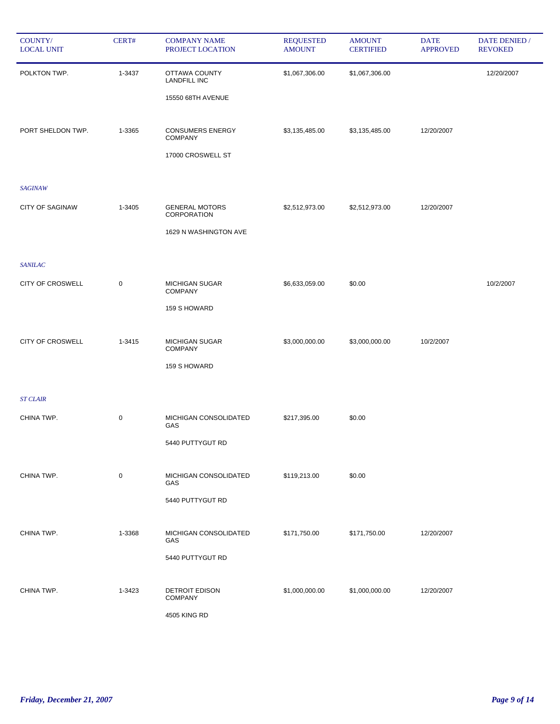| COUNTY/<br><b>LOCAL UNIT</b> | CERT#       | <b>COMPANY NAME</b><br>PROJECT LOCATION   | <b>REQUESTED</b><br><b>AMOUNT</b> | <b>AMOUNT</b><br><b>CERTIFIED</b> | <b>DATE</b><br><b>APPROVED</b> | DATE DENIED /<br><b>REVOKED</b> |
|------------------------------|-------------|-------------------------------------------|-----------------------------------|-----------------------------------|--------------------------------|---------------------------------|
| POLKTON TWP.                 | 1-3437      | OTTAWA COUNTY<br><b>LANDFILL INC</b>      | \$1,067,306.00                    | \$1,067,306.00                    |                                | 12/20/2007                      |
|                              |             | 15550 68TH AVENUE                         |                                   |                                   |                                |                                 |
| PORT SHELDON TWP.            | 1-3365      | <b>CONSUMERS ENERGY</b><br><b>COMPANY</b> | \$3,135,485.00                    | \$3,135,485.00                    | 12/20/2007                     |                                 |
|                              |             | 17000 CROSWELL ST                         |                                   |                                   |                                |                                 |
| <b>SAGINAW</b>               |             |                                           |                                   |                                   |                                |                                 |
| <b>CITY OF SAGINAW</b>       | 1-3405      | <b>GENERAL MOTORS</b><br>CORPORATION      | \$2,512,973.00                    | \$2,512,973.00                    | 12/20/2007                     |                                 |
|                              |             | 1629 N WASHINGTON AVE                     |                                   |                                   |                                |                                 |
| <b>SANILAC</b>               |             |                                           |                                   |                                   |                                |                                 |
| <b>CITY OF CROSWELL</b>      | $\pmb{0}$   | <b>MICHIGAN SUGAR</b><br><b>COMPANY</b>   | \$6,633,059.00                    | \$0.00                            |                                | 10/2/2007                       |
|                              |             | 159 S HOWARD                              |                                   |                                   |                                |                                 |
| <b>CITY OF CROSWELL</b>      | 1-3415      | <b>MICHIGAN SUGAR</b><br><b>COMPANY</b>   | \$3,000,000.00                    | \$3,000,000.00                    | 10/2/2007                      |                                 |
|                              |             | 159 S HOWARD                              |                                   |                                   |                                |                                 |
| <b>ST CLAIR</b>              |             |                                           |                                   |                                   |                                |                                 |
| CHINA TWP.                   | $\mathbf 0$ | MICHIGAN CONSOLIDATED<br>GAS              | \$217,395.00                      | \$0.00                            |                                |                                 |
|                              |             | 5440 PUTTYGUT RD                          |                                   |                                   |                                |                                 |
| CHINA TWP.                   | $\mathbf 0$ | MICHIGAN CONSOLIDATED<br>GAS              | \$119,213.00                      | \$0.00                            |                                |                                 |
|                              |             | 5440 PUTTYGUT RD                          |                                   |                                   |                                |                                 |
| CHINA TWP.                   | 1-3368      | MICHIGAN CONSOLIDATED<br>GAS              | \$171,750.00                      | \$171,750.00                      | 12/20/2007                     |                                 |
|                              |             | 5440 PUTTYGUT RD                          |                                   |                                   |                                |                                 |
| CHINA TWP.                   | 1-3423      | <b>DETROIT EDISON</b><br><b>COMPANY</b>   | \$1,000,000.00                    | \$1,000,000.00                    | 12/20/2007                     |                                 |
|                              |             | 4505 KING RD                              |                                   |                                   |                                |                                 |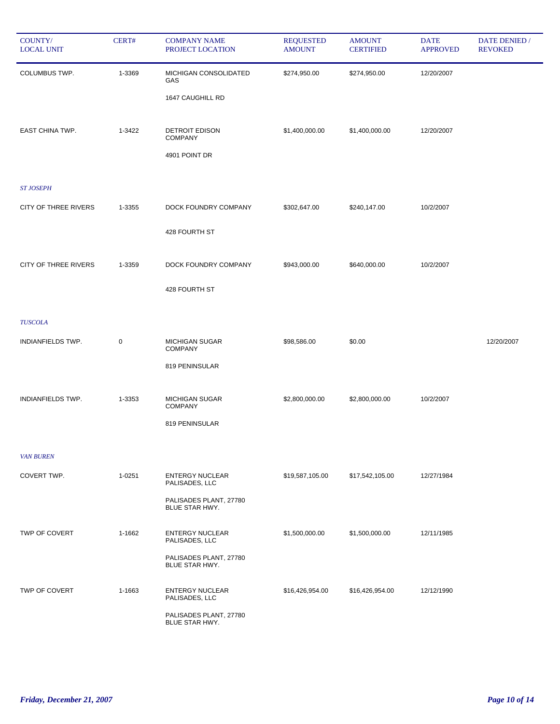| COUNTY/<br><b>LOCAL UNIT</b> | CERT#     | <b>COMPANY NAME</b><br>PROJECT LOCATION                  | <b>REQUESTED</b><br><b>AMOUNT</b> | <b>AMOUNT</b><br><b>CERTIFIED</b> | <b>DATE</b><br><b>APPROVED</b> | <b>DATE DENIED /</b><br><b>REVOKED</b> |
|------------------------------|-----------|----------------------------------------------------------|-----------------------------------|-----------------------------------|--------------------------------|----------------------------------------|
| COLUMBUS TWP.                | 1-3369    | MICHIGAN CONSOLIDATED<br>GAS<br>1647 CAUGHILL RD         | \$274,950.00                      | \$274,950.00                      | 12/20/2007                     |                                        |
| EAST CHINA TWP.              | 1-3422    | <b>DETROIT EDISON</b><br><b>COMPANY</b><br>4901 POINT DR | \$1,400,000.00                    | \$1,400,000.00                    | 12/20/2007                     |                                        |
| <b>ST JOSEPH</b>             |           |                                                          |                                   |                                   |                                |                                        |
| <b>CITY OF THREE RIVERS</b>  | 1-3355    | DOCK FOUNDRY COMPANY                                     | \$302,647.00                      | \$240,147.00                      | 10/2/2007                      |                                        |
|                              |           | 428 FOURTH ST                                            |                                   |                                   |                                |                                        |
| <b>CITY OF THREE RIVERS</b>  | 1-3359    | DOCK FOUNDRY COMPANY                                     | \$943,000.00                      | \$640,000.00                      | 10/2/2007                      |                                        |
|                              |           | 428 FOURTH ST                                            |                                   |                                   |                                |                                        |
| <b>TUSCOLA</b>               |           |                                                          |                                   |                                   |                                |                                        |
| INDIANFIELDS TWP.            | $\pmb{0}$ | <b>MICHIGAN SUGAR</b><br><b>COMPANY</b>                  | \$98,586.00                       | \$0.00                            |                                | 12/20/2007                             |
|                              |           | 819 PENINSULAR                                           |                                   |                                   |                                |                                        |
| INDIANFIELDS TWP.            | 1-3353    | <b>MICHIGAN SUGAR</b><br><b>COMPANY</b>                  | \$2,800,000.00                    | \$2,800,000.00                    | 10/2/2007                      |                                        |
|                              |           | 819 PENINSULAR                                           |                                   |                                   |                                |                                        |
| <b>VAN BUREN</b>             |           |                                                          |                                   |                                   |                                |                                        |
| COVERT TWP.                  | 1-0251    | <b>ENTERGY NUCLEAR</b><br>PALISADES, LLC                 | \$19,587,105.00                   | \$17,542,105.00                   | 12/27/1984                     |                                        |
|                              |           | PALISADES PLANT, 27780<br>BLUE STAR HWY.                 |                                   |                                   |                                |                                        |
| TWP OF COVERT                | 1-1662    | <b>ENTERGY NUCLEAR</b><br>PALISADES, LLC                 | \$1,500,000.00                    | \$1,500,000.00                    | 12/11/1985                     |                                        |
|                              |           | PALISADES PLANT, 27780<br>BLUE STAR HWY.                 |                                   |                                   |                                |                                        |
| TWP OF COVERT                | 1-1663    | <b>ENTERGY NUCLEAR</b><br>PALISADES, LLC                 | \$16,426,954.00                   | \$16,426,954.00                   | 12/12/1990                     |                                        |
|                              |           | PALISADES PLANT, 27780<br>BLUE STAR HWY.                 |                                   |                                   |                                |                                        |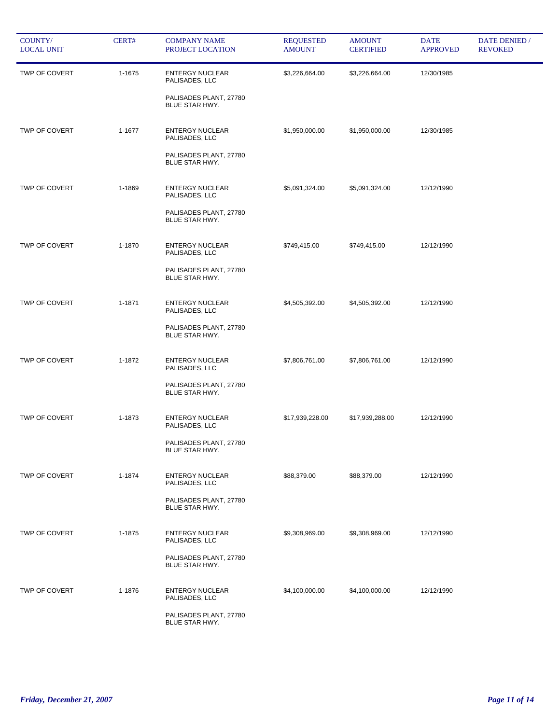| COUNTY/<br><b>LOCAL UNIT</b> | CERT#  | <b>COMPANY NAME</b><br>PROJECT LOCATION                                                     | <b>REQUESTED</b><br><b>AMOUNT</b> | <b>AMOUNT</b><br><b>CERTIFIED</b> | <b>DATE</b><br><b>APPROVED</b> | DATE DENIED /<br><b>REVOKED</b> |
|------------------------------|--------|---------------------------------------------------------------------------------------------|-----------------------------------|-----------------------------------|--------------------------------|---------------------------------|
| TWP OF COVERT                | 1-1675 | <b>ENTERGY NUCLEAR</b><br>PALISADES, LLC<br>PALISADES PLANT, 27780<br>BLUE STAR HWY.        | \$3,226,664.00                    | \$3,226,664.00                    | 12/30/1985                     |                                 |
| TWP OF COVERT                | 1-1677 | <b>ENTERGY NUCLEAR</b><br>PALISADES, LLC<br>PALISADES PLANT, 27780<br>BLUE STAR HWY.        | \$1,950,000.00                    | \$1,950,000.00                    | 12/30/1985                     |                                 |
| TWP OF COVERT                | 1-1869 | <b>ENTERGY NUCLEAR</b><br>PALISADES, LLC<br>PALISADES PLANT, 27780<br>BLUE STAR HWY.        | \$5,091,324.00                    | \$5,091,324.00                    | 12/12/1990                     |                                 |
| <b>TWP OF COVERT</b>         | 1-1870 | <b>ENTERGY NUCLEAR</b><br>PALISADES, LLC<br>PALISADES PLANT, 27780<br><b>BLUE STAR HWY.</b> | \$749,415.00                      | \$749,415.00                      | 12/12/1990                     |                                 |
| TWP OF COVERT                | 1-1871 | <b>ENTERGY NUCLEAR</b><br>PALISADES, LLC<br>PALISADES PLANT, 27780<br>BLUE STAR HWY.        | \$4,505,392.00                    | \$4,505,392.00                    | 12/12/1990                     |                                 |
| TWP OF COVERT                | 1-1872 | <b>ENTERGY NUCLEAR</b><br>PALISADES, LLC<br>PALISADES PLANT, 27780<br>BLUE STAR HWY.        | \$7,806,761.00                    | \$7,806,761.00                    | 12/12/1990                     |                                 |
| TWP OF COVERT                | 1-1873 | <b>ENTERGY NUCLEAR</b><br>PALISADES, LLC<br>PALISADES PLANT, 27780<br>BLUE STAR HWY.        | \$17,939,228.00                   | \$17,939,288.00                   | 12/12/1990                     |                                 |
| TWP OF COVERT                | 1-1874 | <b>ENTERGY NUCLEAR</b><br>PALISADES, LLC<br>PALISADES PLANT, 27780<br>BLUE STAR HWY.        | \$88,379.00                       | \$88,379.00                       | 12/12/1990                     |                                 |
| TWP OF COVERT                | 1-1875 | <b>ENTERGY NUCLEAR</b><br>PALISADES, LLC<br>PALISADES PLANT, 27780<br>BLUE STAR HWY.        | \$9,308,969.00                    | \$9,308,969.00                    | 12/12/1990                     |                                 |
| TWP OF COVERT                | 1-1876 | <b>ENTERGY NUCLEAR</b><br>PALISADES, LLC<br>PALISADES PLANT, 27780<br>BLUE STAR HWY.        | \$4,100,000.00                    | \$4,100,000.00                    | 12/12/1990                     |                                 |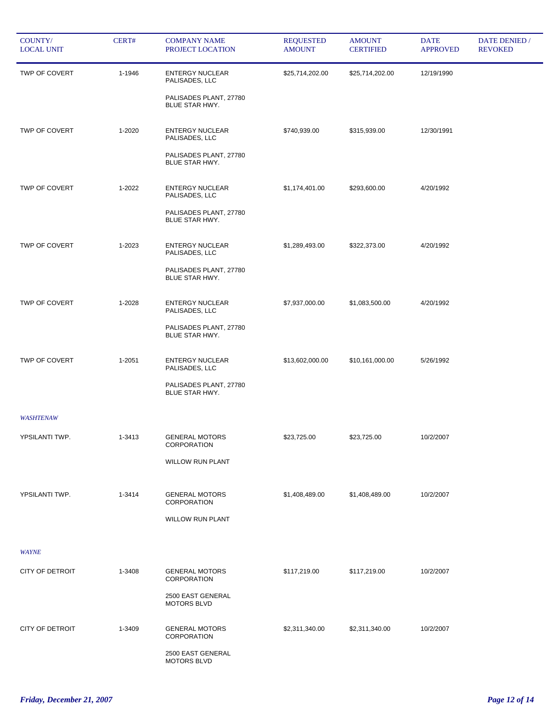| COUNTY/<br><b>LOCAL UNIT</b> | CERT#  | <b>COMPANY NAME</b><br>PROJECT LOCATION         | <b>REQUESTED</b><br><b>AMOUNT</b> | <b>AMOUNT</b><br><b>CERTIFIED</b> | <b>DATE</b><br><b>APPROVED</b> | DATE DENIED /<br><b>REVOKED</b> |
|------------------------------|--------|-------------------------------------------------|-----------------------------------|-----------------------------------|--------------------------------|---------------------------------|
| TWP OF COVERT                | 1-1946 | <b>ENTERGY NUCLEAR</b><br>PALISADES, LLC        | \$25,714,202.00                   | \$25,714,202.00                   | 12/19/1990                     |                                 |
|                              |        | PALISADES PLANT, 27780<br>BLUE STAR HWY.        |                                   |                                   |                                |                                 |
| TWP OF COVERT                | 1-2020 | <b>ENTERGY NUCLEAR</b><br>PALISADES, LLC        | \$740,939.00                      | \$315,939.00                      | 12/30/1991                     |                                 |
|                              |        | PALISADES PLANT, 27780<br><b>BLUE STAR HWY.</b> |                                   |                                   |                                |                                 |
| TWP OF COVERT                | 1-2022 | <b>ENTERGY NUCLEAR</b><br>PALISADES, LLC        | \$1,174,401.00                    | \$293,600.00                      | 4/20/1992                      |                                 |
|                              |        | PALISADES PLANT, 27780<br><b>BLUE STAR HWY.</b> |                                   |                                   |                                |                                 |
| TWP OF COVERT                | 1-2023 | <b>ENTERGY NUCLEAR</b><br>PALISADES, LLC        | \$1,289,493.00                    | \$322,373.00                      | 4/20/1992                      |                                 |
|                              |        | PALISADES PLANT, 27780<br>BLUE STAR HWY.        |                                   |                                   |                                |                                 |
| TWP OF COVERT                | 1-2028 | <b>ENTERGY NUCLEAR</b><br>PALISADES, LLC        | \$7,937,000.00                    | \$1,083,500.00                    | 4/20/1992                      |                                 |
|                              |        | PALISADES PLANT, 27780<br>BLUE STAR HWY.        |                                   |                                   |                                |                                 |
| TWP OF COVERT                | 1-2051 | <b>ENTERGY NUCLEAR</b><br>PALISADES, LLC        | \$13,602,000.00                   | \$10,161,000.00                   | 5/26/1992                      |                                 |
|                              |        | PALISADES PLANT, 27780<br><b>BLUE STAR HWY.</b> |                                   |                                   |                                |                                 |
| <b>WASHTENAW</b>             |        |                                                 |                                   |                                   |                                |                                 |
| YPSILANTI TWP.               | 1-3413 | <b>GENERAL MOTORS</b><br><b>CORPORATION</b>     | \$23,725.00                       | \$23,725.00                       | 10/2/2007                      |                                 |
|                              |        | <b>WILLOW RUN PLANT</b>                         |                                   |                                   |                                |                                 |
| YPSILANTI TWP.               | 1-3414 | <b>GENERAL MOTORS</b><br>CORPORATION            | \$1,408,489.00                    | \$1,408,489.00                    | 10/2/2007                      |                                 |
|                              |        | <b>WILLOW RUN PLANT</b>                         |                                   |                                   |                                |                                 |
| WAYNE                        |        |                                                 |                                   |                                   |                                |                                 |
| CITY OF DETROIT              | 1-3408 | <b>GENERAL MOTORS</b><br>CORPORATION            | \$117,219.00                      | \$117,219.00                      | 10/2/2007                      |                                 |
|                              |        | 2500 EAST GENERAL<br>MOTORS BLVD                |                                   |                                   |                                |                                 |
| <b>CITY OF DETROIT</b>       | 1-3409 | <b>GENERAL MOTORS</b><br>CORPORATION            | \$2,311,340.00                    | \$2,311,340.00                    | 10/2/2007                      |                                 |
|                              |        | 2500 EAST GENERAL<br>MOTORS BLVD                |                                   |                                   |                                |                                 |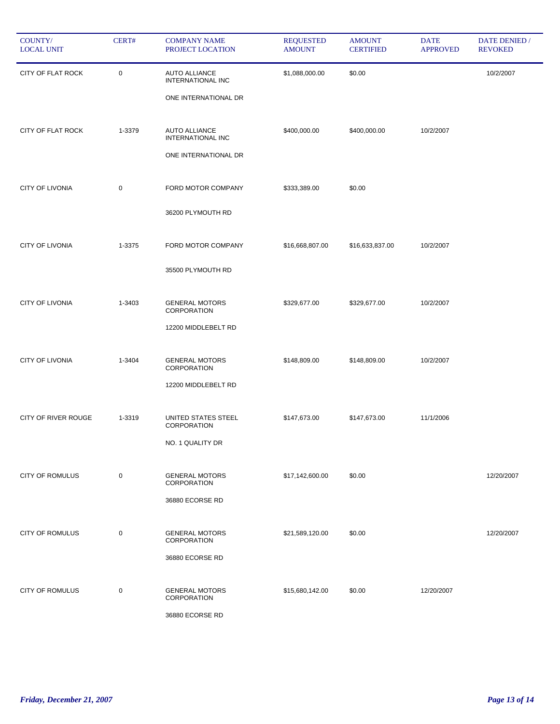| COUNTY/<br><b>LOCAL UNIT</b> | CERT#       | <b>COMPANY NAME</b><br>PROJECT LOCATION                           | <b>REQUESTED</b><br><b>AMOUNT</b> | <b>AMOUNT</b><br><b>CERTIFIED</b> | <b>DATE</b><br><b>APPROVED</b> | DATE DENIED /<br><b>REVOKED</b> |
|------------------------------|-------------|-------------------------------------------------------------------|-----------------------------------|-----------------------------------|--------------------------------|---------------------------------|
| CITY OF FLAT ROCK            | $\mathbf 0$ | <b>AUTO ALLIANCE</b><br>INTERNATIONAL INC<br>ONE INTERNATIONAL DR | \$1,088,000.00                    | \$0.00                            |                                | 10/2/2007                       |
| CITY OF FLAT ROCK            | 1-3379      | <b>AUTO ALLIANCE</b><br>INTERNATIONAL INC<br>ONE INTERNATIONAL DR | \$400,000.00                      | \$400,000.00                      | 10/2/2007                      |                                 |
| <b>CITY OF LIVONIA</b>       | 0           | FORD MOTOR COMPANY<br>36200 PLYMOUTH RD                           | \$333,389.00                      | \$0.00                            |                                |                                 |
| <b>CITY OF LIVONIA</b>       | 1-3375      | FORD MOTOR COMPANY<br>35500 PLYMOUTH RD                           | \$16,668,807.00                   | \$16,633,837.00                   | 10/2/2007                      |                                 |
| CITY OF LIVONIA              | 1-3403      | <b>GENERAL MOTORS</b><br>CORPORATION<br>12200 MIDDLEBELT RD       | \$329,677.00                      | \$329,677.00                      | 10/2/2007                      |                                 |
| <b>CITY OF LIVONIA</b>       | 1-3404      | <b>GENERAL MOTORS</b><br>CORPORATION<br>12200 MIDDLEBELT RD       | \$148,809.00                      | \$148,809.00                      | 10/2/2007                      |                                 |
| CITY OF RIVER ROUGE          | 1-3319      | UNITED STATES STEEL<br>CORPORATION<br>NO. 1 QUALITY DR            | \$147,673.00                      | \$147,673.00                      | 11/1/2006                      |                                 |
| <b>CITY OF ROMULUS</b>       | $\mathbf 0$ | <b>GENERAL MOTORS</b><br>CORPORATION<br>36880 ECORSE RD           | \$17,142,600.00                   | \$0.00                            |                                | 12/20/2007                      |
| <b>CITY OF ROMULUS</b>       | 0           | <b>GENERAL MOTORS</b><br>CORPORATION<br>36880 ECORSE RD           | \$21,589,120.00                   | \$0.00                            |                                | 12/20/2007                      |
| <b>CITY OF ROMULUS</b>       | $\mathbf 0$ | <b>GENERAL MOTORS</b><br>CORPORATION<br>36880 ECORSE RD           | \$15,680,142.00                   | \$0.00                            | 12/20/2007                     |                                 |